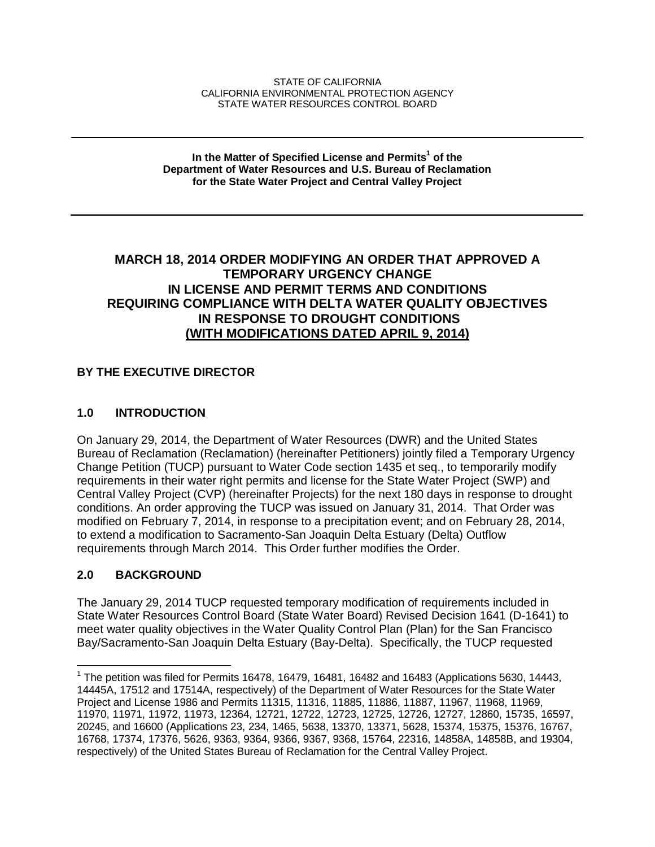#### STATE OF CALIFORNIA CALIFORNIA ENVIRONMENTAL PROTECTION AGENCY STATE WATER RESOURCES CONTROL BOARD

#### **In the Matter of Specified License and Permits<sup>1</sup> of the Department of Water Resources and U.S. Bureau of Reclamation for the State Water Project and Central Valley Project**

## **MARCH 18, 2014 ORDER MODIFYING AN ORDER THAT APPROVED A TEMPORARY URGENCY CHANGE IN LICENSE AND PERMIT TERMS AND CONDITIONS REQUIRING COMPLIANCE WITH DELTA WATER QUALITY OBJECTIVES IN RESPONSE TO DROUGHT CONDITIONS (WITH MODIFICATIONS DATED APRIL 9, 2014)**

### **BY THE EXECUTIVE DIRECTOR**

### **1.0 INTRODUCTION**

On January 29, 2014, the Department of Water Resources (DWR) and the United States Bureau of Reclamation (Reclamation) (hereinafter Petitioners) jointly filed a Temporary Urgency Change Petition (TUCP) pursuant to Water Code section 1435 et seq., to temporarily modify requirements in their water right permits and license for the State Water Project (SWP) and Central Valley Project (CVP) (hereinafter Projects) for the next 180 days in response to drought conditions. An order approving the TUCP was issued on January 31, 2014. That Order was modified on February 7, 2014, in response to a precipitation event; and on February 28, 2014, to extend a modification to Sacramento-San Joaquin Delta Estuary (Delta) Outflow requirements through March 2014. This Order further modifies the Order.

### **2.0 BACKGROUND**

 $\overline{\phantom{a}}$ 

The January 29, 2014 TUCP requested temporary modification of requirements included in State Water Resources Control Board (State Water Board) Revised Decision 1641 (D-1641) to meet water quality objectives in the Water Quality Control Plan (Plan) for the San Francisco Bay/Sacramento-San Joaquin Delta Estuary (Bay-Delta). Specifically, the TUCP requested

<sup>&</sup>lt;sup>1</sup> The petition was filed for Permits 16478, 16479, 16481, 16482 and 16483 (Applications 5630, 14443, 14445A, 17512 and 17514A, respectively) of the Department of Water Resources for the State Water Project and License 1986 and Permits 11315, 11316, 11885, 11886, 11887, 11967, 11968, 11969, 11970, 11971, 11972, 11973, 12364, 12721, 12722, 12723, 12725, 12726, 12727, 12860, 15735, 16597, 20245, and 16600 (Applications 23, 234, 1465, 5638, 13370, 13371, 5628, 15374, 15375, 15376, 16767, 16768, 17374, 17376, 5626, 9363, 9364, 9366, 9367, 9368, 15764, 22316, 14858A, 14858B, and 19304, respectively) of the United States Bureau of Reclamation for the Central Valley Project.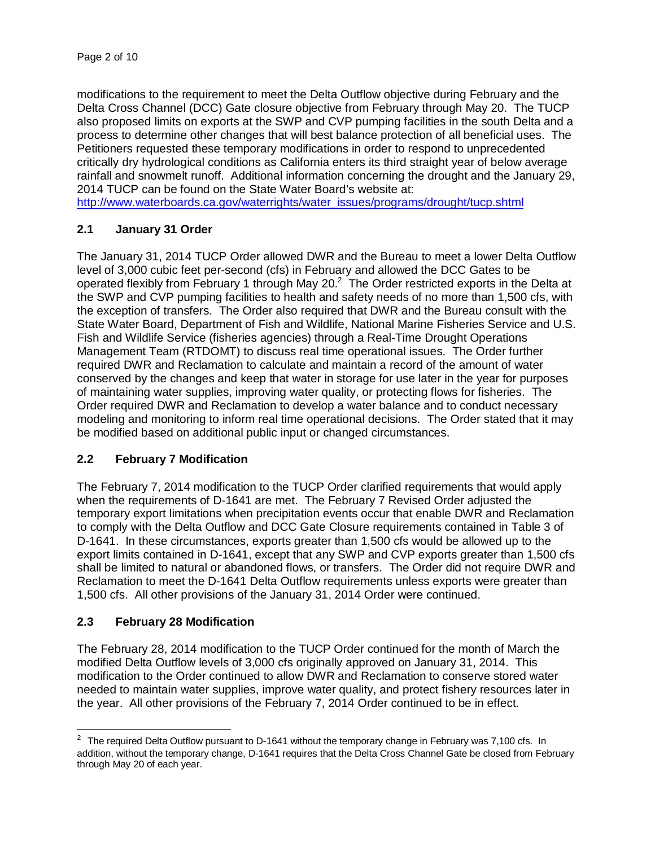modifications to the requirement to meet the Delta Outflow objective during February and the Delta Cross Channel (DCC) Gate closure objective from February through May 20. The TUCP also proposed limits on exports at the SWP and CVP pumping facilities in the south Delta and a process to determine other changes that will best balance protection of all beneficial uses. The Petitioners requested these temporary modifications in order to respond to unprecedented critically dry hydrological conditions as California enters its third straight year of below average rainfall and snowmelt runoff. Additional information concerning the drought and the January 29, 2014 TUCP can be found on the State Water Board's website at:

http://www.waterboards.ca.gov/waterrights/water\_issues/programs/drought/tucp.shtml

### **2.1 January 31 Order**

The January 31, 2014 TUCP Order allowed DWR and the Bureau to meet a lower Delta Outflow level of 3,000 cubic feet per-second (cfs) in February and allowed the DCC Gates to be operated flexibly from February 1 through May 20. $^2$  The Order restricted exports in the Delta at the SWP and CVP pumping facilities to health and safety needs of no more than 1,500 cfs, with the exception of transfers. The Order also required that DWR and the Bureau consult with the State Water Board, Department of Fish and Wildlife, National Marine Fisheries Service and U.S. Fish and Wildlife Service (fisheries agencies) through a Real-Time Drought Operations Management Team (RTDOMT) to discuss real time operational issues. The Order further required DWR and Reclamation to calculate and maintain a record of the amount of water conserved by the changes and keep that water in storage for use later in the year for purposes of maintaining water supplies, improving water quality, or protecting flows for fisheries. The Order required DWR and Reclamation to develop a water balance and to conduct necessary modeling and monitoring to inform real time operational decisions. The Order stated that it may be modified based on additional public input or changed circumstances.

### **2.2 February 7 Modification**

The February 7, 2014 modification to the TUCP Order clarified requirements that would apply when the requirements of D-1641 are met. The February 7 Revised Order adjusted the temporary export limitations when precipitation events occur that enable DWR and Reclamation to comply with the Delta Outflow and DCC Gate Closure requirements contained in Table 3 of D-1641. In these circumstances, exports greater than 1,500 cfs would be allowed up to the export limits contained in D-1641, except that any SWP and CVP exports greater than 1,500 cfs shall be limited to natural or abandoned flows, or transfers. The Order did not require DWR and Reclamation to meet the D-1641 Delta Outflow requirements unless exports were greater than 1,500 cfs. All other provisions of the January 31, 2014 Order were continued.

### **2.3 February 28 Modification**

The February 28, 2014 modification to the TUCP Order continued for the month of March the modified Delta Outflow levels of 3,000 cfs originally approved on January 31, 2014. This modification to the Order continued to allow DWR and Reclamation to conserve stored water needed to maintain water supplies, improve water quality, and protect fishery resources later in the year. All other provisions of the February 7, 2014 Order continued to be in effect.

 $\overline{a}$  $2$  The required Delta Outflow pursuant to D-1641 without the temporary change in February was 7,100 cfs. In addition, without the temporary change, D-1641 requires that the Delta Cross Channel Gate be closed from February through May 20 of each year.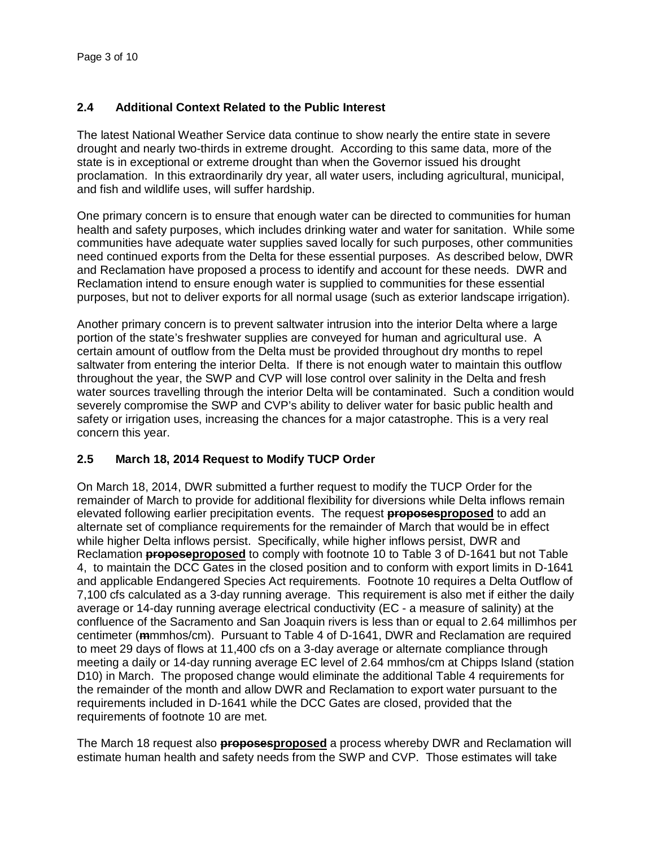### **2.4 Additional Context Related to the Public Interest**

The latest National Weather Service data continue to show nearly the entire state in severe drought and nearly two-thirds in extreme drought. According to this same data, more of the state is in exceptional or extreme drought than when the Governor issued his drought proclamation. In this extraordinarily dry year, all water users, including agricultural, municipal, and fish and wildlife uses, will suffer hardship.

One primary concern is to ensure that enough water can be directed to communities for human health and safety purposes, which includes drinking water and water for sanitation. While some communities have adequate water supplies saved locally for such purposes, other communities need continued exports from the Delta for these essential purposes. As described below, DWR and Reclamation have proposed a process to identify and account for these needs. DWR and Reclamation intend to ensure enough water is supplied to communities for these essential purposes, but not to deliver exports for all normal usage (such as exterior landscape irrigation).

Another primary concern is to prevent saltwater intrusion into the interior Delta where a large portion of the state's freshwater supplies are conveyed for human and agricultural use. A certain amount of outflow from the Delta must be provided throughout dry months to repel saltwater from entering the interior Delta. If there is not enough water to maintain this outflow throughout the year, the SWP and CVP will lose control over salinity in the Delta and fresh water sources travelling through the interior Delta will be contaminated. Such a condition would severely compromise the SWP and CVP's ability to deliver water for basic public health and safety or irrigation uses, increasing the chances for a major catastrophe. This is a very real concern this year.

### **2.5 March 18, 2014 Request to Modify TUCP Order**

On March 18, 2014, DWR submitted a further request to modify the TUCP Order for the remainder of March to provide for additional flexibility for diversions while Delta inflows remain elevated following earlier precipitation events. The request **proposesproposed** to add an alternate set of compliance requirements for the remainder of March that would be in effect while higher Delta inflows persist. Specifically, while higher inflows persist, DWR and Reclamation **proposeproposed** to comply with footnote 10 to Table 3 of D-1641 but not Table 4, to maintain the DCC Gates in the closed position and to conform with export limits in D-1641 and applicable Endangered Species Act requirements. Footnote 10 requires a Delta Outflow of 7,100 cfs calculated as a 3-day running average. This requirement is also met if either the daily average or 14-day running average electrical conductivity (EC - a measure of salinity) at the confluence of the Sacramento and San Joaquin rivers is less than or equal to 2.64 millimhos per centimeter (**m**mmhos/cm). Pursuant to Table 4 of D-1641, DWR and Reclamation are required to meet 29 days of flows at 11,400 cfs on a 3-day average or alternate compliance through meeting a daily or 14-day running average EC level of 2.64 mmhos/cm at Chipps Island (station D10) in March. The proposed change would eliminate the additional Table 4 requirements for the remainder of the month and allow DWR and Reclamation to export water pursuant to the requirements included in D-1641 while the DCC Gates are closed, provided that the requirements of footnote 10 are met.

The March 18 request also **proposesproposed** a process whereby DWR and Reclamation will estimate human health and safety needs from the SWP and CVP. Those estimates will take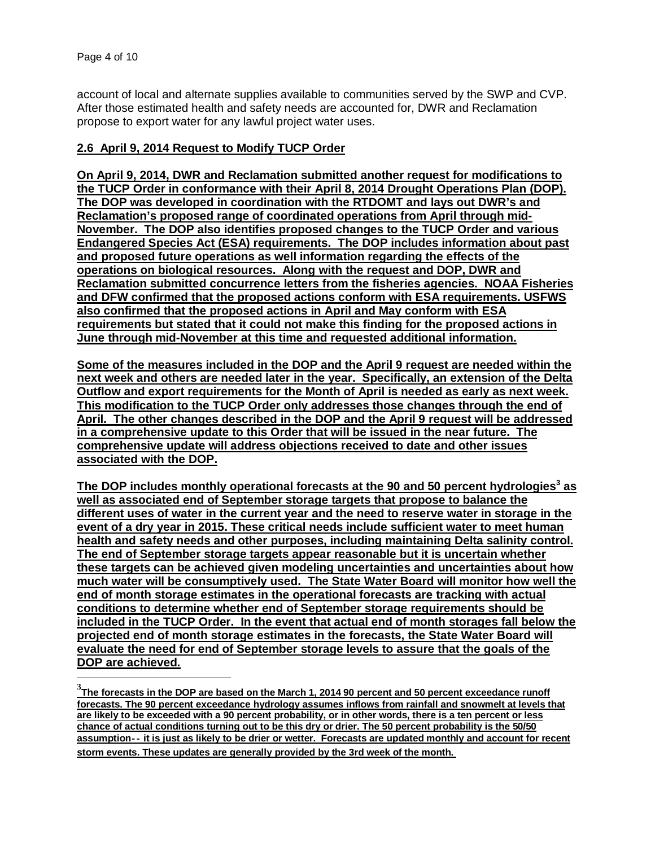$\overline{a}$ 

account of local and alternate supplies available to communities served by the SWP and CVP. After those estimated health and safety needs are accounted for, DWR and Reclamation propose to export water for any lawful project water uses.

#### **2.6 April 9, 2014 Request to Modify TUCP Order**

**On April 9, 2014, DWR and Reclamation submitted another request for modifications to the TUCP Order in conformance with their April 8, 2014 Drought Operations Plan (DOP). The DOP was developed in coordination with the RTDOMT and lays out DWR's and Reclamation's proposed range of coordinated operations from April through mid-November. The DOP also identifies proposed changes to the TUCP Order and various Endangered Species Act (ESA) requirements. The DOP includes information about past and proposed future operations as well information regarding the effects of the operations on biological resources. Along with the request and DOP, DWR and Reclamation submitted concurrence letters from the fisheries agencies. NOAA Fisheries and DFW confirmed that the proposed actions conform with ESA requirements. USFWS also confirmed that the proposed actions in April and May conform with ESA requirements but stated that it could not make this finding for the proposed actions in June through mid-November at this time and requested additional information.** 

**Some of the measures included in the DOP and the April 9 request are needed within the next week and others are needed later in the year. Specifically, an extension of the Delta Outflow and export requirements for the Month of April is needed as early as next week. This modification to the TUCP Order only addresses those changes through the end of April. The other changes described in the DOP and the April 9 request will be addressed in a comprehensive update to this Order that will be issued in the near future. The comprehensive update will address objections received to date and other issues associated with the DOP.** 

**The DOP includes monthly operational forecasts at the 90 and 50 percent hydrologies<sup>3</sup> as well as associated end of September storage targets that propose to balance the different uses of water in the current year and the need to reserve water in storage in the event of a dry year in 2015. These critical needs include sufficient water to meet human health and safety needs and other purposes, including maintaining Delta salinity control. The end of September storage targets appear reasonable but it is uncertain whether these targets can be achieved given modeling uncertainties and uncertainties about how much water will be consumptively used. The State Water Board will monitor how well the end of month storage estimates in the operational forecasts are tracking with actual conditions to determine whether end of September storage requirements should be included in the TUCP Order. In the event that actual end of month storages fall below the projected end of month storage estimates in the forecasts, the State Water Board will evaluate the need for end of September storage levels to assure that the goals of the DOP are achieved.** 

**<sup>3</sup> The forecasts in the DOP are based on the March 1, 2014 90 percent and 50 percent exceedance runoff forecasts. The 90 percent exceedance hydrology assumes inflows from rainfall and snowmelt at levels that are likely to be exceeded with a 90 percent probability, or in other words, there is a ten percent or less chance of actual conditions turning out to be this dry or drier. The 50 percent probability is the 50/50 assumption‐‐ it is just as likely to be drier or wetter. Forecasts are updated monthly and account for recent storm events. These updates are generally provided by the 3rd week of the month.**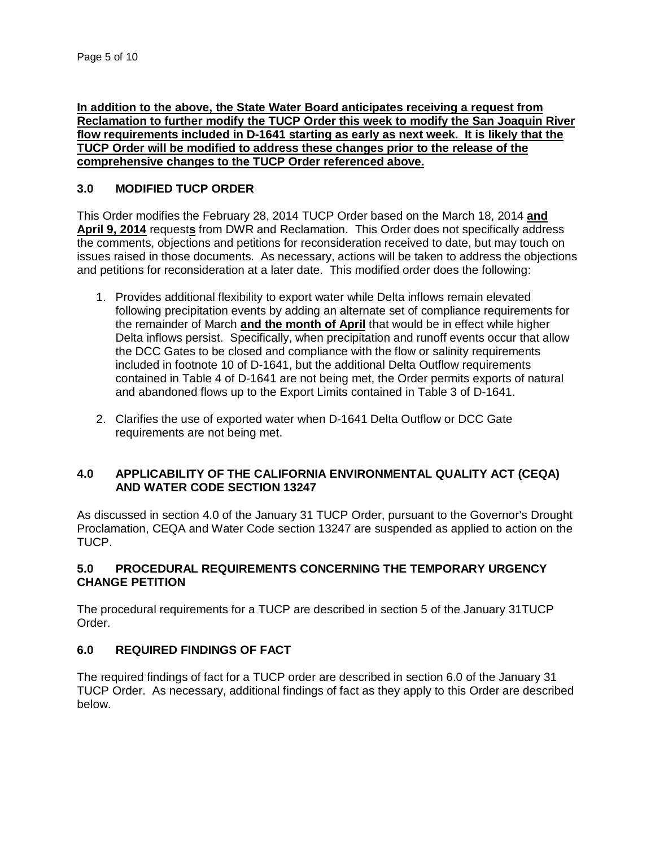**In addition to the above, the State Water Board anticipates receiving a request from Reclamation to further modify the TUCP Order this week to modify the San Joaquin River flow requirements included in D-1641 starting as early as next week. It is likely that the TUCP Order will be modified to address these changes prior to the release of the comprehensive changes to the TUCP Order referenced above.**

#### **3.0 MODIFIED TUCP ORDER**

This Order modifies the February 28, 2014 TUCP Order based on the March 18, 2014 **and April 9, 2014** request**s** from DWR and Reclamation. This Order does not specifically address the comments, objections and petitions for reconsideration received to date, but may touch on issues raised in those documents. As necessary, actions will be taken to address the objections and petitions for reconsideration at a later date. This modified order does the following:

- 1. Provides additional flexibility to export water while Delta inflows remain elevated following precipitation events by adding an alternate set of compliance requirements for the remainder of March **and the month of April** that would be in effect while higher Delta inflows persist. Specifically, when precipitation and runoff events occur that allow the DCC Gates to be closed and compliance with the flow or salinity requirements included in footnote 10 of D-1641, but the additional Delta Outflow requirements contained in Table 4 of D-1641 are not being met, the Order permits exports of natural and abandoned flows up to the Export Limits contained in Table 3 of D-1641.
- 2. Clarifies the use of exported water when D-1641 Delta Outflow or DCC Gate requirements are not being met.

### **4.0 APPLICABILITY OF THE CALIFORNIA ENVIRONMENTAL QUALITY ACT (CEQA) AND WATER CODE SECTION 13247**

As discussed in section 4.0 of the January 31 TUCP Order, pursuant to the Governor's Drought Proclamation, CEQA and Water Code section 13247 are suspended as applied to action on the TUCP.

#### **5.0 PROCEDURAL REQUIREMENTS CONCERNING THE TEMPORARY URGENCY CHANGE PETITION**

The procedural requirements for a TUCP are described in section 5 of the January 31TUCP Order.

### **6.0 REQUIRED FINDINGS OF FACT**

The required findings of fact for a TUCP order are described in section 6.0 of the January 31 TUCP Order. As necessary, additional findings of fact as they apply to this Order are described below.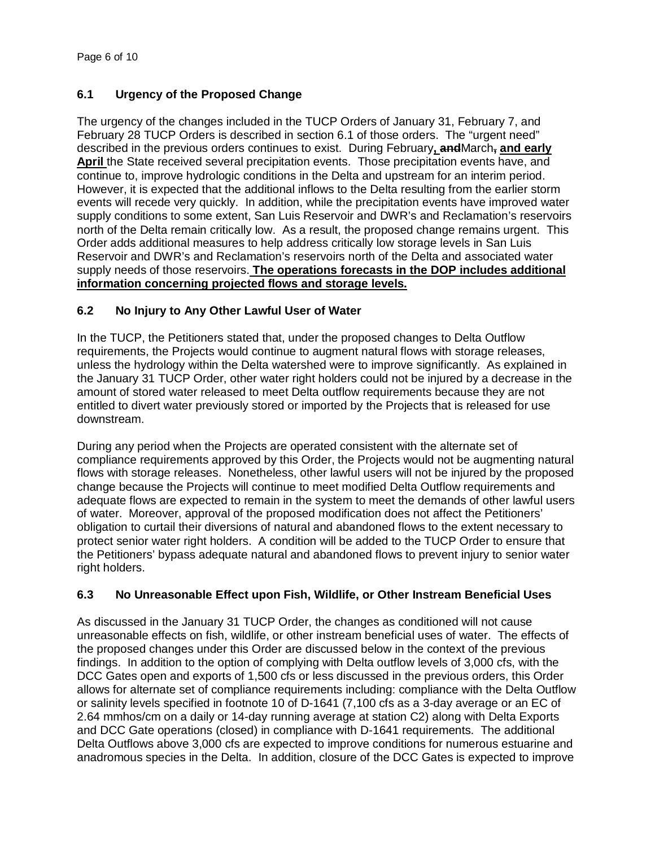# **6.1 Urgency of the Proposed Change**

The urgency of the changes included in the TUCP Orders of January 31, February 7, and February 28 TUCP Orders is described in section 6.1 of those orders. The "urgent need" described in the previous orders continues to exist. During February**, and**March**, and early April** the State received several precipitation events. Those precipitation events have, and continue to, improve hydrologic conditions in the Delta and upstream for an interim period. However, it is expected that the additional inflows to the Delta resulting from the earlier storm events will recede very quickly. In addition, while the precipitation events have improved water supply conditions to some extent, San Luis Reservoir and DWR's and Reclamation's reservoirs north of the Delta remain critically low. As a result, the proposed change remains urgent. This Order adds additional measures to help address critically low storage levels in San Luis Reservoir and DWR's and Reclamation's reservoirs north of the Delta and associated water supply needs of those reservoirs. **The operations forecasts in the DOP includes additional information concerning projected flows and storage levels.** 

### **6.2 No Injury to Any Other Lawful User of Water**

In the TUCP, the Petitioners stated that, under the proposed changes to Delta Outflow requirements, the Projects would continue to augment natural flows with storage releases, unless the hydrology within the Delta watershed were to improve significantly. As explained in the January 31 TUCP Order, other water right holders could not be injured by a decrease in the amount of stored water released to meet Delta outflow requirements because they are not entitled to divert water previously stored or imported by the Projects that is released for use downstream.

During any period when the Projects are operated consistent with the alternate set of compliance requirements approved by this Order, the Projects would not be augmenting natural flows with storage releases. Nonetheless, other lawful users will not be injured by the proposed change because the Projects will continue to meet modified Delta Outflow requirements and adequate flows are expected to remain in the system to meet the demands of other lawful users of water. Moreover, approval of the proposed modification does not affect the Petitioners' obligation to curtail their diversions of natural and abandoned flows to the extent necessary to protect senior water right holders. A condition will be added to the TUCP Order to ensure that the Petitioners' bypass adequate natural and abandoned flows to prevent injury to senior water right holders.

## **6.3 No Unreasonable Effect upon Fish, Wildlife, or Other Instream Beneficial Uses**

As discussed in the January 31 TUCP Order, the changes as conditioned will not cause unreasonable effects on fish, wildlife, or other instream beneficial uses of water. The effects of the proposed changes under this Order are discussed below in the context of the previous findings. In addition to the option of complying with Delta outflow levels of 3,000 cfs, with the DCC Gates open and exports of 1,500 cfs or less discussed in the previous orders, this Order allows for alternate set of compliance requirements including: compliance with the Delta Outflow or salinity levels specified in footnote 10 of D-1641 (7,100 cfs as a 3-day average or an EC of 2.64 mmhos/cm on a daily or 14-day running average at station C2) along with Delta Exports and DCC Gate operations (closed) in compliance with D-1641 requirements. The additional Delta Outflows above 3,000 cfs are expected to improve conditions for numerous estuarine and anadromous species in the Delta. In addition, closure of the DCC Gates is expected to improve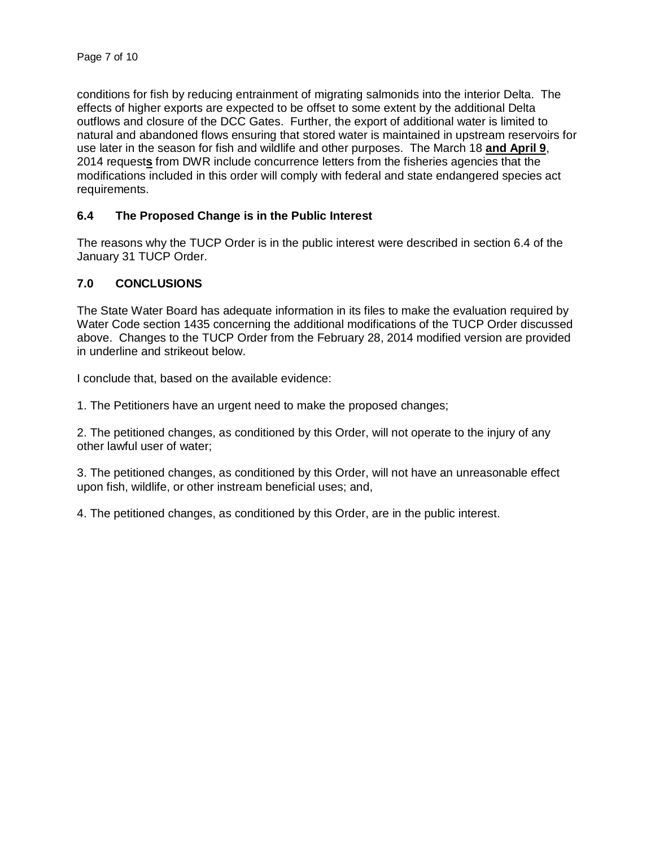conditions for fish by reducing entrainment of migrating salmonids into the interior Delta. The effects of higher exports are expected to be offset to some extent by the additional Delta outflows and closure of the DCC Gates. Further, the export of additional water is limited to natural and abandoned flows ensuring that stored water is maintained in upstream reservoirs for use later in the season for fish and wildlife and other purposes. The March 18 **and April 9**, 2014 request**s** from DWR include concurrence letters from the fisheries agencies that the modifications included in this order will comply with federal and state endangered species act requirements.

### **6.4 The Proposed Change is in the Public Interest**

The reasons why the TUCP Order is in the public interest were described in section 6.4 of the January 31 TUCP Order.

#### **7.0 CONCLUSIONS**

The State Water Board has adequate information in its files to make the evaluation required by Water Code section 1435 concerning the additional modifications of the TUCP Order discussed above. Changes to the TUCP Order from the February 28, 2014 modified version are provided in underline and strikeout below.

I conclude that, based on the available evidence:

1. The Petitioners have an urgent need to make the proposed changes;

2. The petitioned changes, as conditioned by this Order, will not operate to the injury of any other lawful user of water;

3. The petitioned changes, as conditioned by this Order, will not have an unreasonable effect upon fish, wildlife, or other instream beneficial uses; and,

4. The petitioned changes, as conditioned by this Order, are in the public interest.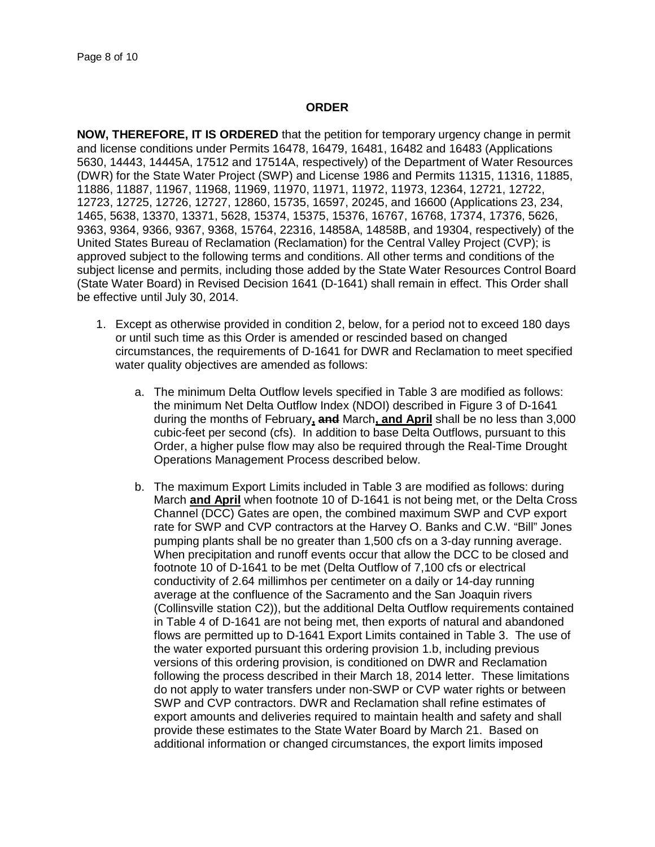#### **ORDER**

**NOW, THEREFORE, IT IS ORDERED** that the petition for temporary urgency change in permit and license conditions under Permits 16478, 16479, 16481, 16482 and 16483 (Applications 5630, 14443, 14445A, 17512 and 17514A, respectively) of the Department of Water Resources (DWR) for the State Water Project (SWP) and License 1986 and Permits 11315, 11316, 11885, 11886, 11887, 11967, 11968, 11969, 11970, 11971, 11972, 11973, 12364, 12721, 12722, 12723, 12725, 12726, 12727, 12860, 15735, 16597, 20245, and 16600 (Applications 23, 234, 1465, 5638, 13370, 13371, 5628, 15374, 15375, 15376, 16767, 16768, 17374, 17376, 5626, 9363, 9364, 9366, 9367, 9368, 15764, 22316, 14858A, 14858B, and 19304, respectively) of the United States Bureau of Reclamation (Reclamation) for the Central Valley Project (CVP); is approved subject to the following terms and conditions. All other terms and conditions of the subject license and permits, including those added by the State Water Resources Control Board (State Water Board) in Revised Decision 1641 (D-1641) shall remain in effect. This Order shall be effective until July 30, 2014.

- 1. Except as otherwise provided in condition 2, below, for a period not to exceed 180 days or until such time as this Order is amended or rescinded based on changed circumstances, the requirements of D-1641 for DWR and Reclamation to meet specified water quality objectives are amended as follows:
	- a. The minimum Delta Outflow levels specified in Table 3 are modified as follows: the minimum Net Delta Outflow Index (NDOI) described in Figure 3 of D-1641 during the months of February**, and** March**, and April** shall be no less than 3,000 cubic-feet per second (cfs). In addition to base Delta Outflows, pursuant to this Order, a higher pulse flow may also be required through the Real-Time Drought Operations Management Process described below.
	- b. The maximum Export Limits included in Table 3 are modified as follows: during March **and April** when footnote 10 of D-1641 is not being met, or the Delta Cross Channel (DCC) Gates are open, the combined maximum SWP and CVP export rate for SWP and CVP contractors at the Harvey O. Banks and C.W. "Bill" Jones pumping plants shall be no greater than 1,500 cfs on a 3-day running average. When precipitation and runoff events occur that allow the DCC to be closed and footnote 10 of D-1641 to be met (Delta Outflow of 7,100 cfs or electrical conductivity of 2.64 millimhos per centimeter on a daily or 14-day running average at the confluence of the Sacramento and the San Joaquin rivers (Collinsville station C2)), but the additional Delta Outflow requirements contained in Table 4 of D-1641 are not being met, then exports of natural and abandoned flows are permitted up to D-1641 Export Limits contained in Table 3. The use of the water exported pursuant this ordering provision 1.b, including previous versions of this ordering provision, is conditioned on DWR and Reclamation following the process described in their March 18, 2014 letter. These limitations do not apply to water transfers under non-SWP or CVP water rights or between SWP and CVP contractors. DWR and Reclamation shall refine estimates of export amounts and deliveries required to maintain health and safety and shall provide these estimates to the State Water Board by March 21. Based on additional information or changed circumstances, the export limits imposed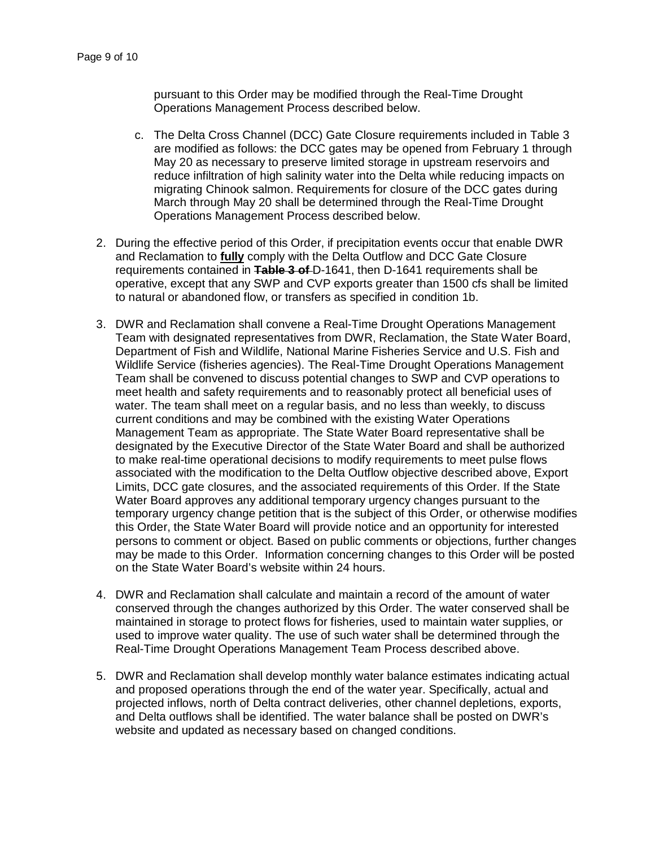pursuant to this Order may be modified through the Real-Time Drought Operations Management Process described below.

- c. The Delta Cross Channel (DCC) Gate Closure requirements included in Table 3 are modified as follows: the DCC gates may be opened from February 1 through May 20 as necessary to preserve limited storage in upstream reservoirs and reduce infiltration of high salinity water into the Delta while reducing impacts on migrating Chinook salmon. Requirements for closure of the DCC gates during March through May 20 shall be determined through the Real-Time Drought Operations Management Process described below.
- 2. During the effective period of this Order, if precipitation events occur that enable DWR and Reclamation to **fully** comply with the Delta Outflow and DCC Gate Closure requirements contained in **Table 3 of** D-1641, then D-1641 requirements shall be operative, except that any SWP and CVP exports greater than 1500 cfs shall be limited to natural or abandoned flow, or transfers as specified in condition 1b.
- 3. DWR and Reclamation shall convene a Real-Time Drought Operations Management Team with designated representatives from DWR, Reclamation, the State Water Board, Department of Fish and Wildlife, National Marine Fisheries Service and U.S. Fish and Wildlife Service (fisheries agencies). The Real-Time Drought Operations Management Team shall be convened to discuss potential changes to SWP and CVP operations to meet health and safety requirements and to reasonably protect all beneficial uses of water. The team shall meet on a regular basis, and no less than weekly, to discuss current conditions and may be combined with the existing Water Operations Management Team as appropriate. The State Water Board representative shall be designated by the Executive Director of the State Water Board and shall be authorized to make real-time operational decisions to modify requirements to meet pulse flows associated with the modification to the Delta Outflow objective described above, Export Limits, DCC gate closures, and the associated requirements of this Order. If the State Water Board approves any additional temporary urgency changes pursuant to the temporary urgency change petition that is the subject of this Order, or otherwise modifies this Order, the State Water Board will provide notice and an opportunity for interested persons to comment or object. Based on public comments or objections, further changes may be made to this Order. Information concerning changes to this Order will be posted on the State Water Board's website within 24 hours.
- 4. DWR and Reclamation shall calculate and maintain a record of the amount of water conserved through the changes authorized by this Order. The water conserved shall be maintained in storage to protect flows for fisheries, used to maintain water supplies, or used to improve water quality. The use of such water shall be determined through the Real-Time Drought Operations Management Team Process described above.
- 5. DWR and Reclamation shall develop monthly water balance estimates indicating actual and proposed operations through the end of the water year. Specifically, actual and projected inflows, north of Delta contract deliveries, other channel depletions, exports, and Delta outflows shall be identified. The water balance shall be posted on DWR's website and updated as necessary based on changed conditions.